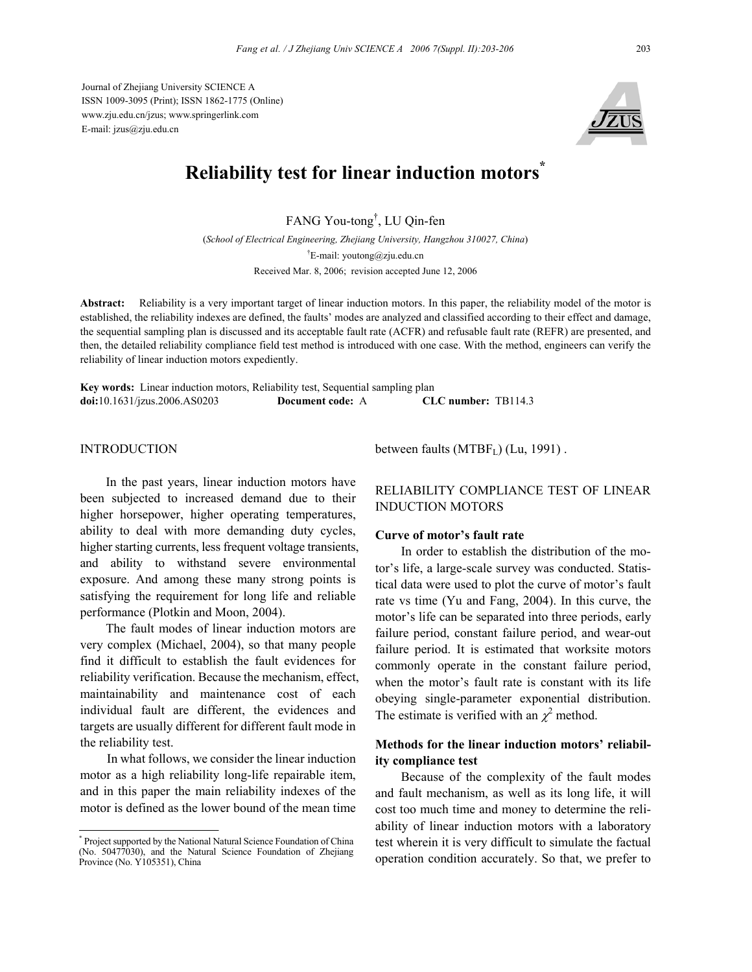Journal of Zhejiang University SCIENCE A ISSN 1009-3095 (Print); ISSN 1862-1775 (Online) www.zju.edu.cn/jzus; www.springerlink.com E-mail: jzus@zju.edu.cn



# **Reliability test for linear induction motors\***

FANG You-tong† , LU Qin-fen

(*School of Electrical Engineering, Zhejiang University, Hangzhou 310027, China*) † E-mail: youtong@zju.edu.cn Received Mar. 8, 2006; revision accepted June 12, 2006

**Abstract:** Reliability is a very important target of linear induction motors. In this paper, the reliability model of the motor is established, the reliability indexes are defined, the faults' modes are analyzed and classified according to their effect and damage, the sequential sampling plan is discussed and its acceptable fault rate (ACFR) and refusable fault rate (REFR) are presented, and then, the detailed reliability compliance field test method is introduced with one case. With the method, engineers can verify the reliability of linear induction motors expediently.

**Key words:** Linear induction motors, Reliability test, Sequential sampling plan **doi:**10.1631/jzus.2006.AS0203 **Document code:** A **CLC number:** TB114.3

#### INTRODUCTION

In the past years, linear induction motors have been subjected to increased demand due to their higher horsepower, higher operating temperatures, ability to deal with more demanding duty cycles, higher starting currents, less frequent voltage transients, and ability to withstand severe environmental exposure. And among these many strong points is satisfying the requirement for long life and reliable performance (Plotkin and Moon, 2004).

The fault modes of linear induction motors are very complex (Michael, 2004), so that many people find it difficult to establish the fault evidences for reliability verification. Because the mechanism, effect, maintainability and maintenance cost of each individual fault are different, the evidences and targets are usually different for different fault mode in the reliability test.

In what follows, we consider the linear induction motor as a high reliability long-life repairable item, and in this paper the main reliability indexes of the motor is defined as the lower bound of the mean time

between faults  $(MTBF_L)$  (Lu, 1991).

## RELIABILITY COMPLIANCE TEST OF LINEAR INDUCTION MOTORS

#### **Curve of motor's fault rate**

In order to establish the distribution of the motor's life, a large-scale survey was conducted. Statistical data were used to plot the curve of motor's fault rate vs time (Yu and Fang, 2004). In this curve, the motor's life can be separated into three periods, early failure period, constant failure period, and wear-out failure period. It is estimated that worksite motors commonly operate in the constant failure period, when the motor's fault rate is constant with its life obeying single-parameter exponential distribution. The estimate is verified with an  $\chi^2$  method.

## **Methods for the linear induction motors' reliability compliance test**

Because of the complexity of the fault modes and fault mechanism, as well as its long life, it will cost too much time and money to determine the reliability of linear induction motors with a laboratory test wherein it is very difficult to simulate the factual operation condition accurately. So that, we prefer to

<sup>\*</sup> Project supported by the National Natural Science Foundation of China (No. 50477030), and the Natural Science Foundation of Zhejiang Province (No. Y105351), China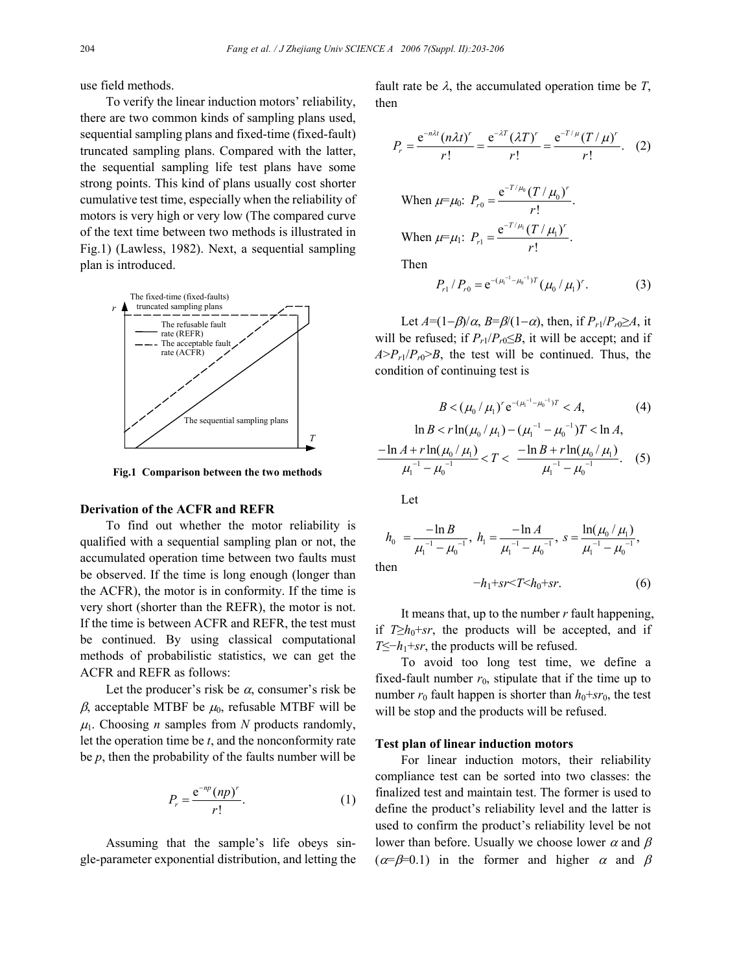use field methods.

To verify the linear induction motors' reliability, there are two common kinds of sampling plans used, sequential sampling plans and fixed-time (fixed-fault) truncated sampling plans. Compared with the latter, the sequential sampling life test plans have some strong points. This kind of plans usually cost shorter cumulative test time, especially when the reliability of motors is very high or very low (The compared curve of the text time between two methods is illustrated in Fig.1) (Lawless, 1982). Next, a sequential sampling plan is introduced.



**Fig.1 Comparison between the two methods**

#### **Derivation of the ACFR and REFR**

To find out whether the motor reliability is qualified with a sequential sampling plan or not, the accumulated operation time between two faults must be observed. If the time is long enough (longer than the ACFR), the motor is in conformity. If the time is very short (shorter than the REFR), the motor is not. If the time is between ACFR and REFR, the test must be continued. By using classical computational methods of probabilistic statistics, we can get the ACFR and REFR as follows:

Let the producer's risk be  $\alpha$ , consumer's risk be  $\beta$ , acceptable MTBF be  $\mu_0$ , refusable MTBF will be  $\mu_1$ . Choosing *n* samples from *N* products randomly, let the operation time be *t*, and the nonconformity rate be *p*, then the probability of the faults number will be

$$
P_r = \frac{e^{-np}(np)^r}{r!}.
$$
 (1)

Assuming that the sample's life obeys single-parameter exponential distribution, and letting the

fault rate be  $\lambda$ , the accumulated operation time be  $T$ , then

$$
P_r = \frac{e^{-n\lambda t} (n\lambda t)^r}{r!} = \frac{e^{-\lambda T} (\lambda T)^r}{r!} = \frac{e^{-T/\mu} (T/\mu)^r}{r!}. \quad (2)
$$
  
When  $\mu = \mu_0$ :  $P_{r0} = \frac{e^{-T/\mu_0} (T/\mu_0)^r}{r!}.$   
When  $\mu = \mu_1$ :  $P_{r1} = \frac{e^{-T/\mu_1} (T/\mu_1)^r}{r!}.$   
Then  
 $P_{r1} P_{r2} = e^{-(\mu_1^{-1} - \mu_0^{-1})T} (\mu_1/\mu_1)^r$  (3)

$$
P_{r1}/P_{r0} = e^{-(\mu_1^{-1} - \mu_0^{-1})T} (\mu_0/\mu_1)^r.
$$
 (3)

Let  $A=(1-\beta)/\alpha$ ,  $B=\beta/(1-\alpha)$ , then, if  $P_{r1}/P_{r0}\geq A$ , it will be refused; if  $P_{r1}/P_{r0} \leq B$ , it will be accept; and if  $A > P_{r1}/P_{r0} > B$ , the test will be continued. Thus, the condition of continuing test is

$$
B < (\mu_0 / \mu_1)^r e^{-(\mu_1^{-1} - \mu_0^{-1})T} < A,
$$
 (4)

$$
\ln B < r \ln(\mu_0/\mu_1) - (\mu_1^{-1} - \mu_0^{-1})T < \ln A,
$$
\n
$$
\frac{-\ln A + r \ln(\mu_0/\mu_1)}{\mu_1^{-1} - \mu_0^{-1}} < T < \frac{-\ln B + r \ln(\mu_0/\mu_1)}{\mu_1^{-1} - \mu_0^{-1}}.\tag{5}
$$

Let

$$
h_0 = \frac{-\ln B}{\mu_1^{-1} - \mu_0^{-1}}, \ h_1 = \frac{-\ln A}{\mu_1^{-1} - \mu_0^{-1}}, \ s = \frac{\ln(\mu_0/\mu_1)}{\mu_1^{-1} - \mu_0^{-1}},
$$
  
then

th

$$
-h_1 + \frac{s}{r} < T < h_0 + \frac{s}{r}.\tag{6}
$$

It means that, up to the number *r* fault happening, if  $T \ge h_0 + sr$ , the products will be accepted, and if *T*≤−*h*<sub>1</sub>+*sr*, the products will be refused.

To avoid too long test time, we define a fixed-fault number  $r_0$ , stipulate that if the time up to number  $r_0$  fault happen is shorter than  $h_0 + s r_0$ , the test will be stop and the products will be refused.

#### **Test plan of linear induction motors**

For linear induction motors, their reliability compliance test can be sorted into two classes: the finalized test and maintain test. The former is used to define the product's reliability level and the latter is used to confirm the product's reliability level be not lower than before. Usually we choose lower  $\alpha$  and  $\beta$  $(\alpha = \beta = 0.1)$  in the former and higher  $\alpha$  and  $\beta$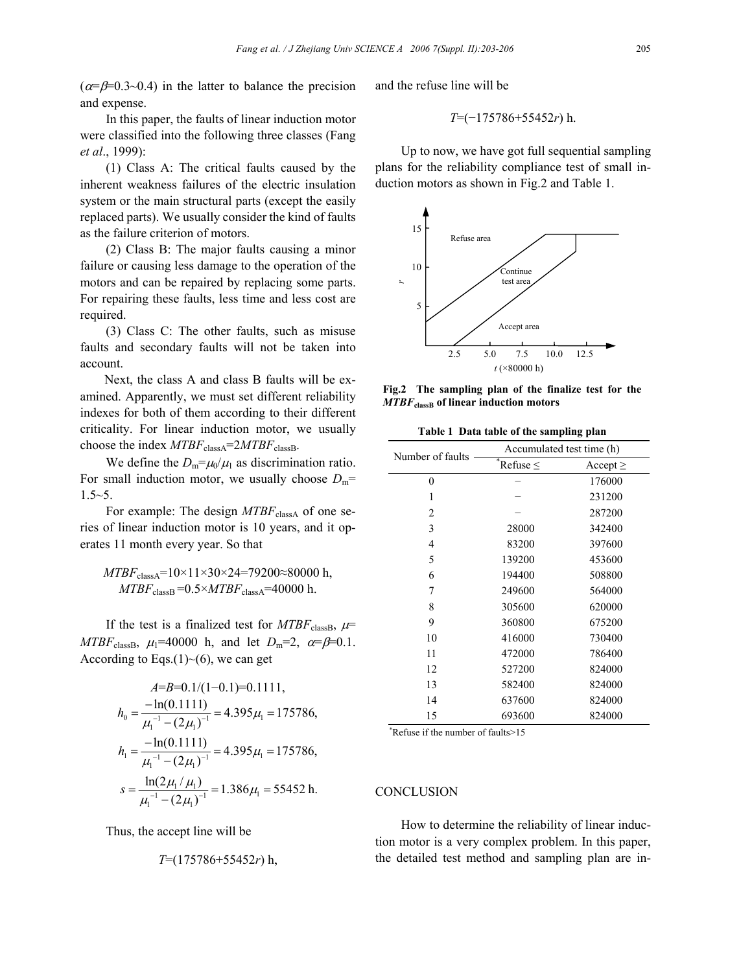$(\alpha = \beta = 0.3 \sim 0.4)$  in the latter to balance the precision and expense.

In this paper, the faults of linear induction motor were classified into the following three classes (Fang *et al*., 1999):

(1) Class A: The critical faults caused by the inherent weakness failures of the electric insulation system or the main structural parts (except the easily replaced parts). We usually consider the kind of faults as the failure criterion of motors.

(2) Class B: The major faults causing a minor failure or causing less damage to the operation of the motors and can be repaired by replacing some parts. For repairing these faults, less time and less cost are required.

(3) Class C: The other faults, such as misuse faults and secondary faults will not be taken into account.

Next, the class A and class B faults will be examined. Apparently, we must set different reliability indexes for both of them according to their different criticality. For linear induction motor, we usually choose the index  $MTBF_{\text{class}A} = 2MTBF_{\text{class}B}$ .

We define the  $D_m=\mu_0/\mu_1$  as discrimination ratio. For small induction motor, we usually choose  $D_m$ =  $1.5 - 5.$ 

For example: The design  $MTBF_{\text{classA}}$  of one series of linear induction motor is 10 years, and it operates 11 month every year. So that

*MTBF*<sub>classA</sub>=10×11×30×24=79200≈80000 h,  $MTBF_{\text{classB}} = 0.5 \times MTBF_{\text{classA}} = 40000 \text{ h}.$ 

If the test is a finalized test for  $MTBF_{\text{classB}}$ ,  $\mu$ = *MTBF*<sub>classB</sub>,  $\mu_1$ =40000 h, and let  $D_m$ =2,  $\alpha$ =β=0.1. According to Eqs.(1) $\sim$ (6), we can get

$$
A=0.1/(1-0.1)=0.1111,
$$
  
\n
$$
h_0 = \frac{-\ln(0.1111)}{\mu_1^{-1} - (2\mu_1)^{-1}} = 4.395\mu_1 = 175786,
$$
  
\n
$$
h_1 = \frac{-\ln(0.1111)}{\mu_1^{-1} - (2\mu_1)^{-1}} = 4.395\mu_1 = 175786,
$$
  
\n
$$
s = \frac{\ln(2\mu_1/\mu_1)}{\mu_1^{-1} - (2\mu_1)^{-1}} = 1.386\mu_1 = 55452 \text{ h}.
$$

Thus, the accept line will be

$$
T=(175786+55452r)
$$
 h,

and the refuse line will be

*T*=(−175786+55452*r*) h.

Up to now, we have got full sequential sampling plans for the reliability compliance test of small induction motors as shown in Fig.2 and Table 1.



**Fig.2 The sampling plan of the finalize test for the** *MTBF***classB of linear induction motors**

**Table 1 Data table of the sampling plan** 

| Number of faults | Accumulated test time (h) |               |
|------------------|---------------------------|---------------|
|                  | *.<br>Refuse $\leq$       | $Accept \geq$ |
| $\overline{0}$   |                           | 176000        |
| 1                |                           | 231200        |
| 2                |                           | 287200        |
| 3                | 28000                     | 342400        |
| $\overline{4}$   | 83200                     | 397600        |
| 5                | 139200                    | 453600        |
| 6                | 194400                    | 508800        |
| 7                | 249600                    | 564000        |
| 8                | 305600                    | 620000        |
| 9                | 360800                    | 675200        |
| 10               | 416000                    | 730400        |
| 11               | 472000                    | 786400        |
| 12               | 527200                    | 824000        |
| 13               | 582400                    | 824000        |
| 14               | 637600                    | 824000        |
| 15               | 693600                    | 824000        |

\* Refuse if the number of faults>15

#### **CONCLUSION**

How to determine the reliability of linear induction motor is a very complex problem. In this paper, the detailed test method and sampling plan are in